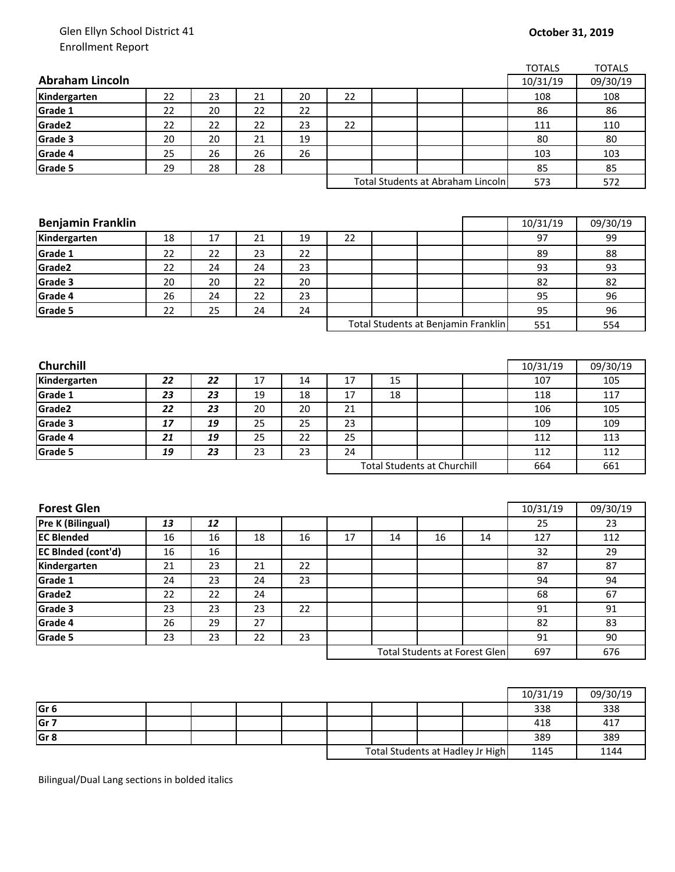## Glen Ellyn School District 41 Enrollment Report

|                                        |    |    |    |    |                                    |                                   |    |                                      | <b>TOTALS</b> | <b>TOTALS</b> |
|----------------------------------------|----|----|----|----|------------------------------------|-----------------------------------|----|--------------------------------------|---------------|---------------|
| <b>Abraham Lincoln</b>                 |    |    |    |    |                                    |                                   |    |                                      | 10/31/19      | 09/30/19      |
| Kindergarten                           | 22 | 23 | 21 | 20 | 22                                 |                                   |    |                                      | 108           | 108           |
| Grade 1                                | 22 | 20 | 22 | 22 |                                    |                                   |    |                                      | 86            | 86            |
| Grade2                                 | 22 | 22 | 22 | 23 | 22                                 |                                   |    |                                      | 111           | 110           |
| Grade 3                                | 20 | 20 | 21 | 19 |                                    |                                   |    |                                      | 80            | 80            |
| Grade 4                                | 25 | 26 | 26 | 26 |                                    |                                   |    |                                      | 103           | 103           |
| Grade 5                                | 29 | 28 | 28 |    |                                    |                                   |    |                                      | 85            | 85            |
|                                        |    |    |    |    |                                    | Total Students at Abraham Lincoln |    | 573                                  | 572           |               |
|                                        |    |    |    |    |                                    |                                   |    |                                      |               |               |
|                                        |    |    |    |    |                                    |                                   |    |                                      |               |               |
| <b>Benjamin Franklin</b>               |    |    |    |    |                                    |                                   |    |                                      | 10/31/19      | 09/30/19      |
| Kindergarten                           | 18 | 17 | 21 | 19 | 22                                 |                                   |    |                                      | 97            | 99            |
| Grade 1                                | 22 | 22 | 23 | 22 |                                    |                                   |    |                                      | 89            | 88            |
| Grade2                                 | 22 | 24 | 24 | 23 |                                    |                                   |    |                                      | 93            | 93            |
| Grade 3                                | 20 | 20 | 22 | 20 |                                    |                                   |    |                                      | 82            | 82            |
| Grade 4                                | 26 | 24 | 22 | 23 |                                    |                                   |    |                                      | 95            | 96            |
| Grade 5                                | 22 | 25 | 24 | 24 |                                    |                                   |    |                                      | 95            | 96            |
|                                        |    |    |    |    |                                    |                                   |    | Total Students at Benjamin Franklin  | 551           | 554           |
|                                        |    |    |    |    |                                    |                                   |    |                                      |               |               |
|                                        |    |    |    |    |                                    |                                   |    |                                      |               |               |
| Churchill                              |    |    |    |    |                                    |                                   |    |                                      | 10/31/19      | 09/30/19      |
| Kindergarten                           | 22 | 22 | 17 | 14 | 17                                 | 15                                |    |                                      | 107           | 105           |
| Grade 1                                | 23 | 23 | 19 | 18 | 17                                 | 18                                |    |                                      | 118           | 117           |
| Grade2                                 | 22 | 23 | 20 | 20 | 21                                 |                                   |    |                                      | 106           | 105           |
| Grade 3                                | 17 | 19 | 25 | 25 | 23                                 |                                   |    |                                      | 109           | 109           |
| Grade 4                                | 21 | 19 | 25 | 22 | 25                                 |                                   |    |                                      | 112           | 113           |
| Grade 5                                | 19 | 23 | 23 | 23 | 24                                 |                                   |    |                                      | 112           | 112           |
|                                        |    |    |    |    | <b>Total Students at Churchill</b> |                                   |    |                                      | 664           | 661           |
|                                        |    |    |    |    |                                    |                                   |    |                                      |               |               |
| <b>Forest Glen</b>                     |    |    |    |    |                                    |                                   |    |                                      |               |               |
|                                        |    |    |    |    |                                    |                                   |    |                                      | 10/31/19      | 09/30/19      |
| Pre K (Bilingual)<br><b>EC Blended</b> | 13 | 12 |    |    |                                    |                                   |    |                                      | 25            | 23            |
|                                        | 16 | 16 | 18 | 16 | 17                                 | 14                                | 16 | 14                                   | 127           | 112           |
| <b>EC BInded (cont'd)</b>              | 16 | 16 |    |    |                                    |                                   |    |                                      | 32            | 29            |
| Kindergarten                           | 21 | 23 | 21 | 22 |                                    |                                   |    |                                      | 87            | 87            |
| Grade 1                                | 24 | 23 | 24 | 23 |                                    |                                   |    |                                      | 94            | 94            |
| Grade2                                 | 22 | 22 | 24 |    |                                    |                                   |    |                                      | 68            | 67            |
| Grade 3                                | 23 | 23 | 23 | 22 |                                    |                                   |    |                                      | 91            | 91            |
| Grade 4                                | 26 | 29 | 27 |    |                                    |                                   |    |                                      | 82            | 83            |
| Grade 5                                | 23 | 23 | 22 | 23 |                                    |                                   |    |                                      | 91            | 90            |
|                                        |    |    |    |    |                                    |                                   |    | <b>Total Students at Forest Glen</b> | 697           | 676           |
|                                        |    |    |    |    |                                    |                                   |    |                                      |               |               |

|                 |  |  |                                  |  |  |      | 10/31/19 | 09/30/19 |
|-----------------|--|--|----------------------------------|--|--|------|----------|----------|
| Gr <sub>6</sub> |  |  |                                  |  |  |      | 338      | 338      |
| Gr <sub>7</sub> |  |  |                                  |  |  |      | 418      | 417      |
| Gr <sub>8</sub> |  |  |                                  |  |  |      | 389      | 389      |
|                 |  |  | Total Students at Hadley Jr High |  |  | 1145 | 1144     |          |

Bilingual/Dual Lang sections in bolded italics